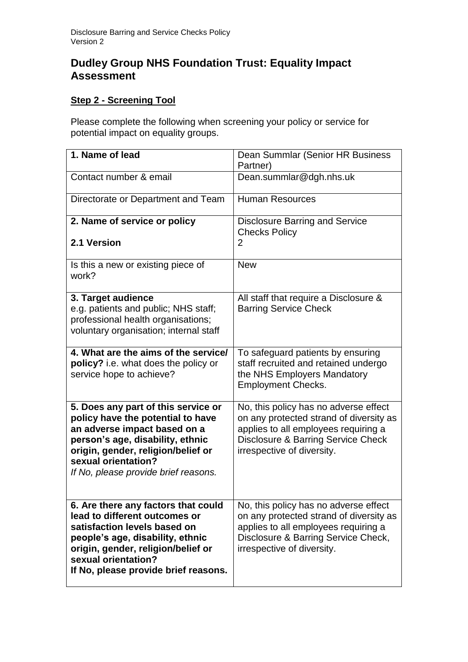# **Dudley Group NHS Foundation Trust: Equality Impact Assessment**

## **Step 2 - Screening Tool**

Please complete the following when screening your policy or service for potential impact on equality groups.

| 1. Name of lead                                                                                                                                                                                                                                   | Dean Summlar (Senior HR Business<br>Partner)                                                                                                                                                  |
|---------------------------------------------------------------------------------------------------------------------------------------------------------------------------------------------------------------------------------------------------|-----------------------------------------------------------------------------------------------------------------------------------------------------------------------------------------------|
| Contact number & email                                                                                                                                                                                                                            | Dean.summlar@dgh.nhs.uk                                                                                                                                                                       |
| Directorate or Department and Team                                                                                                                                                                                                                | <b>Human Resources</b>                                                                                                                                                                        |
| 2. Name of service or policy<br>2.1 Version                                                                                                                                                                                                       | <b>Disclosure Barring and Service</b><br><b>Checks Policy</b><br>$\overline{2}$                                                                                                               |
| Is this a new or existing piece of<br>work?                                                                                                                                                                                                       | <b>New</b>                                                                                                                                                                                    |
| 3. Target audience<br>e.g. patients and public; NHS staff;<br>professional health organisations;<br>voluntary organisation; internal staff                                                                                                        | All staff that require a Disclosure &<br><b>Barring Service Check</b>                                                                                                                         |
| 4. What are the aims of the service/<br>policy? i.e. what does the policy or<br>service hope to achieve?                                                                                                                                          | To safeguard patients by ensuring<br>staff recruited and retained undergo<br>the NHS Employers Mandatory<br><b>Employment Checks.</b>                                                         |
| 5. Does any part of this service or<br>policy have the potential to have<br>an adverse impact based on a<br>person's age, disability, ethnic<br>origin, gender, religion/belief or<br>sexual orientation?<br>If No, please provide brief reasons. | No, this policy has no adverse effect<br>on any protected strand of diversity as<br>applies to all employees requiring a<br>Disclosure & Barring Service Check<br>irrespective of diversity.  |
| 6. Are there any factors that could<br>lead to different outcomes or<br>satisfaction levels based on<br>people's age, disability, ethnic<br>origin, gender, religion/belief or<br>sexual orientation?<br>If No, please provide brief reasons.     | No, this policy has no adverse effect<br>on any protected strand of diversity as<br>applies to all employees requiring a<br>Disclosure & Barring Service Check,<br>irrespective of diversity. |